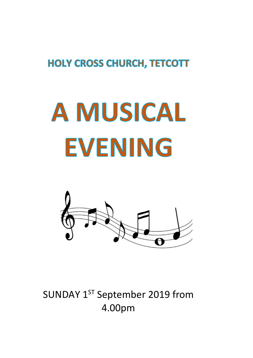## **HOLY CROSS CHURCH, TETCOTT**

## **A MUSICAL EVENING**



SUNDAY 1<sup>ST</sup> September 2019 from 4.00pm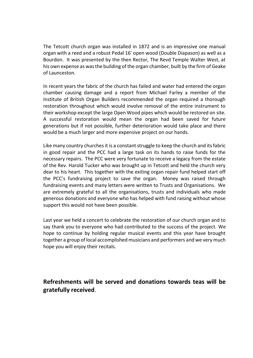The Tetcott church organ was installed in 1872 and is an impressive one manual organ with a reed and a robust Pedal 16' open wood (Double Diapason) as well as a Bourdon. It was presented by the then Rector, The Revd Temple Walter West, at his own expense as was the building of the organ chamber, built by the firm of Geake of Launceston.

In recent years the fabric of the church has failed and water had entered the organ chamber causing damage and a report from Michael Farley a member of the Institute of British Organ Builders recommended the organ required a thorough restoration throughout which would involve removal of the entire instrument to their workshop except the large Open Wood pipes which would be restored on site. A successful restoration would mean the organ had been saved for future generations but if not possible, further deterioration would take place and there would be a much larger and more expensive project on our hands.

Like many country churches it is a constant struggle to keep the church and its fabric in good repair and the PCC had a large task on its hands to raise funds for the necessary repairs. The PCC were very fortunate to receive a legacy from the estate of the Rev. Harold Tucker who was brought up in Tetcott and held the church very dear to his heart. This together with the exiting organ repair fund helped start off the PCC's fundraising project to save the organ. Money was raised through fundraising events and many letters were written to Trusts and Organisations. We are extremely grateful to all the organisations, trusts and individuals who made generous donations and everyone who has helped with fund raising without whose support this would not have been possible.

Last year we held a concert to celebrate the restoration of our church organ and to say thank you to everyone who had contributed to the success of the project. We hope to continue by holding regular musical events and this year have brought together a group of local accomplished musicians and performers and we very much hope you will enjoy their recitals.

**Refreshments will be served and donations towards teas will be gratefully received**.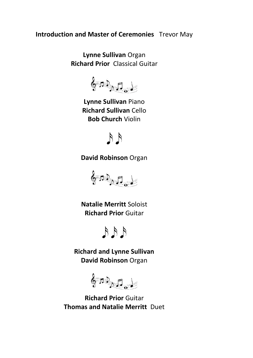**Introduction and Master of Ceremonies** Trevor May

**Lynne Sullivan** Organ **Richard Prior** Classical Guitar

 $6.3.5$ 

**Ly[nne Sulliva](http://bassgeisha.deviantart.com/art/Music-Notes-Stock-210401347)n** Piano **Richard Sullivan** Cello **B[ob Ch](https://creativecommons.org/licenses/by/3.0/)urch** Violin



**David Robinson** Organ



**Natalie Merritt** Soloist **Ric[hard](https://creativecommons.org/licenses/by/3.0/) Prior** Guitar



**Richard and Lynne Sullivan David Robinson** Organ

 $\oint$ 

**Ric[hard Prio](http://bassgeisha.deviantart.com/art/Music-Notes-Stock-210401347)r** Guitar **Thomas and Natalie Merritt** Duet